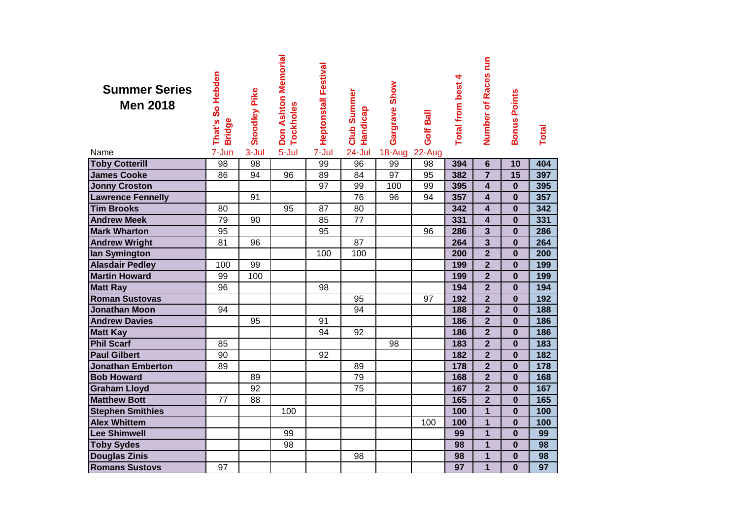| <b>Summer Series</b><br><b>Men 2018</b> | That's So Hebden<br><b>Bridge</b> | <b>Stoodley Pike</b> | Don Ashton Memorial<br>Tockholes | <b>Heptonstall Festival</b> | <b>Club Summer</b><br>Handicap | Gargrave Show | Golf Ball | <b>Total from best 4</b> | Number of Races run     | <b>Bonus Points</b> | <b>Total</b>    |
|-----------------------------------------|-----------------------------------|----------------------|----------------------------------|-----------------------------|--------------------------------|---------------|-----------|--------------------------|-------------------------|---------------------|-----------------|
| Name                                    | 7-Jun                             | 3-Jul                | 5-Jul                            | 7-Jul                       | 24-Jul                         | 18-Aug 22-Aug |           |                          |                         |                     |                 |
| <b>Toby Cotterill</b>                   | 98                                | 98                   |                                  | 99                          | 96                             | 99            | 98        | 394                      | $6\phantom{1}$          | 10                  | 404             |
| <b>James Cooke</b>                      | 86                                | 94                   | 96                               | 89                          | 84                             | 97            | 95        | 382                      | $\overline{7}$          | 15                  | 397             |
| <b>Jonny Croston</b>                    |                                   |                      |                                  | 97                          | 99                             | 100           | 99        | 395                      | $\overline{\mathbf{4}}$ | $\bf{0}$            | 395             |
| <b>Lawrence Fennelly</b>                |                                   | 91                   |                                  |                             | 76                             | 96            | 94        | 357                      | $\overline{\mathbf{4}}$ | $\bf{0}$            | 357             |
| <b>Tim Brooks</b>                       | 80                                |                      | 95                               | 87                          | 80                             |               |           | 342                      | $\overline{\mathbf{4}}$ | $\bf{0}$            | 342             |
| <b>Andrew Meek</b>                      | 79                                | 90                   |                                  | 85                          | $\overline{77}$                |               |           | 331                      | $\overline{\mathbf{4}}$ | $\bf{0}$            | 331             |
| <b>Mark Wharton</b>                     | 95                                |                      |                                  | 95                          |                                |               | 96        | 286                      | $\overline{\mathbf{3}}$ | $\bf{0}$            | 286             |
| <b>Andrew Wright</b>                    | 81                                | 96                   |                                  |                             | 87                             |               |           | 264                      | $\overline{\mathbf{3}}$ | $\bf{0}$            | 264             |
| lan Symington                           |                                   |                      |                                  | 100                         | 100                            |               |           | 200                      | $\overline{2}$          | $\bf{0}$            | 200             |
| <b>Alasdair Pedley</b>                  | 100                               | 99                   |                                  |                             |                                |               |           | 199                      | $\overline{2}$          | $\bf{0}$            | 199             |
| <b>Martin Howard</b>                    | 99                                | 100                  |                                  |                             |                                |               |           | 199                      | $\overline{2}$          | $\bf{0}$            | 199             |
| <b>Matt Ray</b>                         | 96                                |                      |                                  | 98                          |                                |               |           | 194                      | $\overline{2}$          | $\bf{0}$            | 194             |
| <b>Roman Sustovas</b>                   |                                   |                      |                                  |                             | 95                             |               | 97        | 192                      | $\overline{2}$          | $\bf{0}$            | 192             |
| <b>Jonathan Moon</b>                    | 94                                |                      |                                  |                             | 94                             |               |           | 188                      | $\overline{2}$          | $\bf{0}$            | 188             |
| <b>Andrew Davies</b>                    |                                   | 95                   |                                  | 91                          |                                |               |           | 186                      | $\overline{2}$          | $\bf{0}$            | 186             |
| <b>Matt Kay</b>                         |                                   |                      |                                  | 94                          | 92                             |               |           | 186                      | $\overline{2}$          | $\bf{0}$            | 186             |
| <b>Phil Scarf</b>                       | 85                                |                      |                                  |                             |                                | 98            |           | 183                      | $\overline{2}$          | $\bf{0}$            | 183             |
| <b>Paul Gilbert</b>                     | 90                                |                      |                                  | 92                          |                                |               |           | 182                      | $\overline{2}$          | $\bf{0}$            | 182             |
| Jonathan Emberton                       | 89                                |                      |                                  |                             | 89                             |               |           | 178                      | $\overline{2}$          | $\bf{0}$            | 178             |
| <b>Bob Howard</b>                       |                                   | 89                   |                                  |                             | 79                             |               |           | 168                      | $\overline{2}$          | $\bf{0}$            | 168             |
| <b>Graham Lloyd</b>                     |                                   | 92                   |                                  |                             | 75                             |               |           | 167                      | $\overline{2}$          | $\bf{0}$            | 167             |
| <b>Matthew Bott</b>                     | 77                                | 88                   |                                  |                             |                                |               |           | 165                      | $\overline{2}$          | $\bf{0}$            | 165             |
| <b>Stephen Smithies</b>                 |                                   |                      | 100                              |                             |                                |               |           | 100                      | $\mathbf{1}$            | $\bf{0}$            | 100             |
| <b>Alex Whittem</b>                     |                                   |                      |                                  |                             |                                |               | 100       | 100                      | $\mathbf{1}$            | $\bf{0}$            | 100             |
| <b>Lee Shimwell</b>                     |                                   |                      | 99                               |                             |                                |               |           | 99                       | $\mathbf{1}$            | $\bf{0}$            | 99              |
| <b>Toby Sydes</b>                       |                                   |                      | 98                               |                             |                                |               |           | 98                       | $\mathbf{1}$            | $\bf{0}$            | 98              |
| <b>Douglas Zinis</b>                    |                                   |                      |                                  |                             | 98                             |               |           | 98                       | $\mathbf{1}$            | $\bf{0}$            | 98              |
| <b>Romans Sustovs</b>                   | 97                                |                      |                                  |                             |                                |               |           | 97                       | $\overline{1}$          | $\mathbf{0}$        | $\overline{97}$ |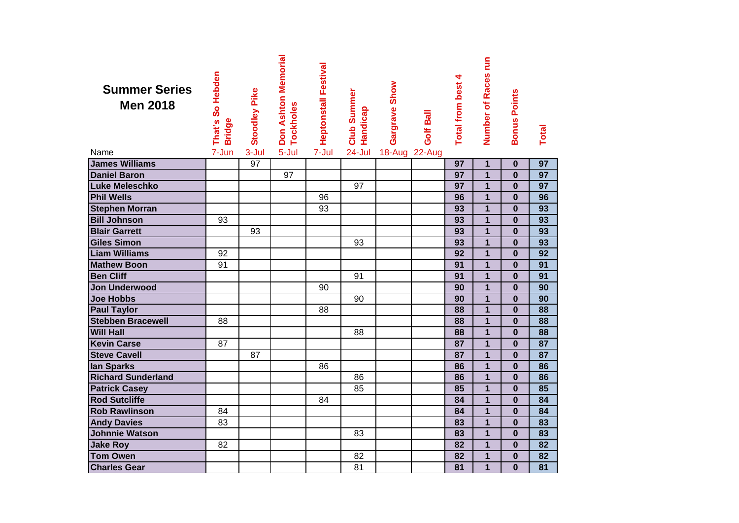| <b>Summer Series</b><br><b>Men 2018</b> | That's So Hebden<br><b>Bridge</b> | <b>Stoodley Pike</b> | ុਾ Don Ashton Memorial<br>⊆ Tockholes<br><b>Tockholes</b> | <b>Heptonstall Festival</b> | <b>Club Summer</b><br>Handicap | Gargrave Show | Golf Ball | 4<br><b>Total from best</b> | Number of Races run | <b>Bonus Points</b> | Total           |
|-----------------------------------------|-----------------------------------|----------------------|-----------------------------------------------------------|-----------------------------|--------------------------------|---------------|-----------|-----------------------------|---------------------|---------------------|-----------------|
| Name                                    | 7-Jun                             | 3-Jul                |                                                           | 7-Jul                       | 24-Jul                         | 18-Aug 22-Aug |           |                             |                     |                     |                 |
| <b>James Williams</b>                   |                                   | 97                   |                                                           |                             |                                |               |           | 97                          | $\mathbf{1}$        | $\mathbf 0$         | $\overline{97}$ |
| <b>Daniel Baron</b>                     |                                   |                      | 97                                                        |                             |                                |               |           | 97                          | $\overline{1}$      | $\bf{0}$            | $\overline{97}$ |
| Luke Meleschko                          |                                   |                      |                                                           |                             | 97                             |               |           | 97                          | $\overline{1}$      | $\bf{0}$            | $\overline{97}$ |
| <b>Phil Wells</b>                       |                                   |                      |                                                           | 96                          |                                |               |           | 96                          | $\overline{1}$      | $\bf{0}$            | 96              |
| <b>Stephen Morran</b>                   |                                   |                      |                                                           | 93                          |                                |               |           | 93                          | $\overline{1}$      | $\bf{0}$            | 93              |
| <b>Bill Johnson</b>                     | 93                                |                      |                                                           |                             |                                |               |           | 93                          | $\overline{1}$      | $\bf{0}$            | $\overline{93}$ |
| <b>Blair Garrett</b>                    |                                   | 93                   |                                                           |                             |                                |               |           | 93                          | $\overline{1}$      | $\bf{0}$            | 93              |
| <b>Giles Simon</b>                      |                                   |                      |                                                           |                             | 93                             |               |           | 93                          | $\overline{1}$      | $\bf{0}$            | 93              |
| <b>Liam Williams</b>                    | 92                                |                      |                                                           |                             |                                |               |           | 92                          | $\overline{1}$      | $\bf{0}$            | $\overline{92}$ |
| <b>Mathew Boon</b>                      | 91                                |                      |                                                           |                             |                                |               |           | 91                          | $\mathbf{1}$        | $\bf{0}$            | 91              |
| <b>Ben Cliff</b>                        |                                   |                      |                                                           |                             | 91                             |               |           | 91                          | $\overline{1}$      | $\bf{0}$            | 91              |
| Jon Underwood                           |                                   |                      |                                                           | 90                          |                                |               |           | 90                          | $\overline{1}$      | $\bf{0}$            | 90              |
| <b>Joe Hobbs</b>                        |                                   |                      |                                                           |                             | 90                             |               |           | 90                          | $\overline{1}$      | $\bf{0}$            | 90              |
| <b>Paul Taylor</b>                      |                                   |                      |                                                           | 88                          |                                |               |           | 88                          | $\overline{1}$      | $\bf{0}$            | 88              |
| <b>Stebben Bracewell</b>                | 88                                |                      |                                                           |                             |                                |               |           | 88                          | $\overline{1}$      | $\bf{0}$            | 88              |
| <b>Will Hall</b>                        |                                   |                      |                                                           |                             | 88                             |               |           | 88                          | $\overline{1}$      | $\bf{0}$            | 88              |
| <b>Kevin Carse</b>                      | 87                                |                      |                                                           |                             |                                |               |           | 87                          | $\overline{1}$      | $\bf{0}$            | 87              |
| <b>Steve Cavell</b>                     |                                   | 87                   |                                                           |                             |                                |               |           | 87                          | $\mathbf{1}$        | $\bf{0}$            | 87              |
| lan Sparks                              |                                   |                      |                                                           | 86                          |                                |               |           | 86                          | $\mathbf{1}$        | $\bf{0}$            | 86              |
| <b>Richard Sunderland</b>               |                                   |                      |                                                           |                             | 86                             |               |           | 86                          | $\overline{1}$      | $\bf{0}$            | 86              |
| <b>Patrick Casey</b>                    |                                   |                      |                                                           |                             | 85                             |               |           | 85                          | $\mathbf{1}$        | $\bf{0}$            | 85              |
| <b>Rod Sutcliffe</b>                    |                                   |                      |                                                           | 84                          |                                |               |           | 84                          | $\mathbf{1}$        | $\bf{0}$            | 84              |
| <b>Rob Rawlinson</b>                    | 84                                |                      |                                                           |                             |                                |               |           | 84                          | $\mathbf{1}$        | $\bf{0}$            | 84              |
| <b>Andy Davies</b>                      | 83                                |                      |                                                           |                             |                                |               |           | 83                          | $\overline{1}$      | $\bf{0}$            | 83              |
| <b>Johnnie Watson</b>                   |                                   |                      |                                                           |                             | 83                             |               |           | 83                          | 1                   | $\bf{0}$            | 83              |
| <b>Jake Roy</b>                         | 82                                |                      |                                                           |                             |                                |               |           | 82                          | $\mathbf{1}$        | $\bf{0}$            | 82              |
| <b>Tom Owen</b>                         |                                   |                      |                                                           |                             | 82                             |               |           | 82                          | $\mathbf{1}$        | $\bf{0}$            | 82              |
| <b>Charles Gear</b>                     |                                   |                      |                                                           |                             | 81                             |               |           | 81                          | $\overline{1}$      | $\mathbf 0$         | 81              |